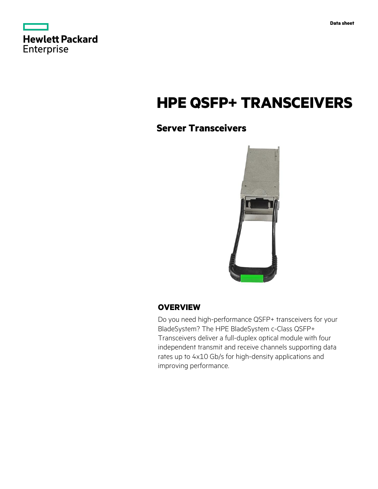|                   | <b>Hewlett Packard</b> |
|-------------------|------------------------|
| <b>Enterprise</b> |                        |

# **HPE QSFP+ TRANSCEIVERS**

# **Server Transceivers**



## **OVERVIEW**

Do you need high-performance QSFP+ transceivers for your BladeSystem? The HPE BladeSystem c-Class QSFP+ Transceivers deliver a full-duplex optical module with four independent transmit and receive channels supporting data rates up to 4x10 Gb/s for high-density applications and improving performance.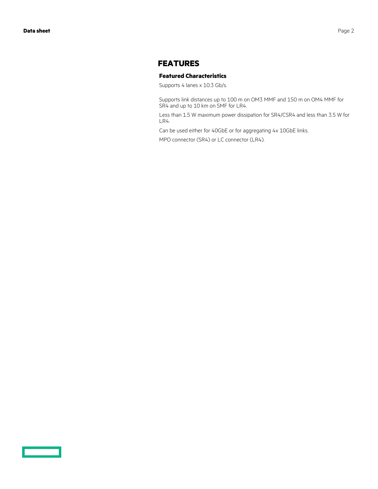### **FEATURES**

#### **Featured Characteristics**

Supports 4 lanes x 10.3 Gb/s.

Supports link distances up to 100 m on OM3 MMF and 150 m on OM4 MMF for SR4 and up to 10 km on SMF for LR4.

Less than 1.5 W maximum power dissipation for SR4/CSR4 and less than 3.5 W for LR4.

Can be used either for 40GbE or for aggregating 4x 10GbE links.

MPO connector (SR4) or LC connector (LR4).